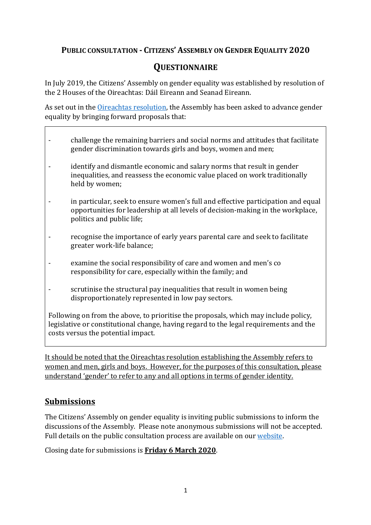### **PUBLIC CONSULTATION - CITIZENS' ASSEMBLY ON GENDER EQUALITY 2020**

# **QUESTIONNAIRE**

In July 2019, the Citizens' Assembly on gender equality was established by resolution of the 2 Houses of the Oireachtas: Dáil Eireann and Seanad Eireann.

As set out in the Oireachtas resolution, the Assembly has been asked to advance gender equality by bringing forward proposals that:

- challenge the remaining barriers and social norms and attitudes that facilitate gender discrimination towards girls and boys, women and men;
- identify and dismantle economic and salary norms that result in gender inequalities, and reassess the economic value placed on work traditionally held by women;
- in particular, seek to ensure women's full and effective participation and equal opportunities for leadership at all levels of decision-making in the workplace, politics and public life;
- recognise the importance of early years parental care and seek to facilitate greater work-life balance;
- examine the social responsibility of care and women and men's co responsibility for care, especially within the family; and
- scrutinise the structural pay inequalities that result in women being disproportionately represented in low pay sectors.

Following on from the above, to prioritise the proposals, which may include policy, legislative or constitutional change, having regard to the legal requirements and the costs versus the potential impact.

It should be noted that the Oireachtas resolution establishing the Assembly refers to women and men, girls and boys. However, for the purposes of this consultation, please understand 'gender' to refer to any and all options in terms of gender identity.

### **Submissions**

The Citizens' Assembly on gender equality is inviting public submissions to inform the discussions of the Assembly. Please note anonymous submissions will not be accepted. Full details on the public consultation process are available on our website.

Closing date for submissions is **Friday 6 March 2020**.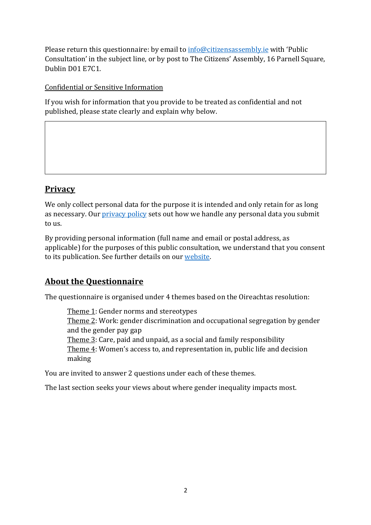Please return this questionnaire: by email to  $info@citizensassembly.ie$  with 'Public Consultation' in the subject line, or by post to The Citizens' Assembly, 16 Parnell Square, Dublin D01 E7C1.

Confidential or Sensitive Information

If you wish for information that you provide to be treated as confidential and not published, please state clearly and explain why below.

# **Privacy**

We only collect personal data for the purpose it is intended and only retain for as long as necessary. Our privacy policy sets out how we handle any personal data you submit to us.

By providing personal information (full name and email or postal address, as applicable) for the purposes of this public consultation, we understand that you consent to its publication. See further details on our website.

## **About the Questionnaire**

The questionnaire is organised under 4 themes based on the Oireachtas resolution:

Theme 1: Gender norms and stereotypes Theme 2: Work: gender discrimination and occupational segregation by gender and the gender pay gap Theme  $3$ : Care, paid and unpaid, as a social and family responsibility Theme  $4$ : Women's access to, and representation in, public life and decision making 

You are invited to answer 2 questions under each of these themes.

The last section seeks your views about where gender inequality impacts most.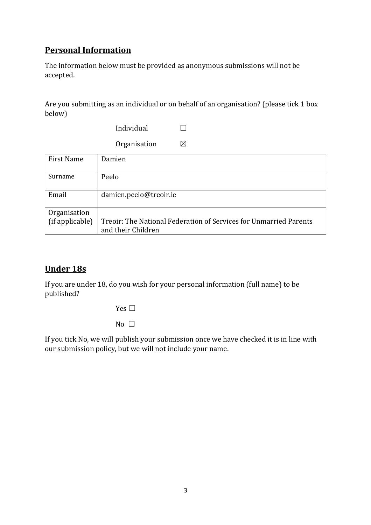# **Personal Information**

The information below must be provided as anonymous submissions will not be accepted. 

Are you submitting as an individual or on behalf of an organisation? (please tick 1 box below)

 $Individual$   $\Box$ 

Organisation  $\boxtimes$ 

| <b>First Name</b>               | Damien                                                                                  |
|---------------------------------|-----------------------------------------------------------------------------------------|
| Surname                         | Peelo                                                                                   |
| Email                           | damien.peelo@treoir.ie                                                                  |
| Organisation<br>(if applicable) | Treoir: The National Federation of Services for Unmarried Parents<br>and their Children |

## **Under 18s**

If you are under 18, do you wish for your personal information (full name) to be published? 

Yes  $\Box$ 

No  $\Box$ 

If you tick No, we will publish your submission once we have checked it is in line with our submission policy, but we will not include your name.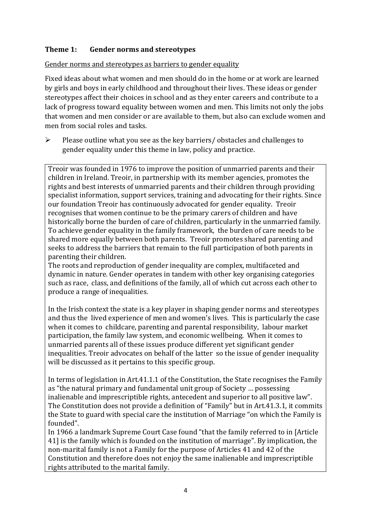#### **Theme 1:** Gender norms and stereotypes

Gender norms and stereotypes as barriers to gender equality

Fixed ideas about what women and men should do in the home or at work are learned by girls and boys in early childhood and throughout their lives. These ideas or gender stereotypes affect their choices in school and as they enter careers and contribute to a lack of progress toward equality between women and men. This limits not only the jobs that women and men consider or are available to them, but also can exclude women and men from social roles and tasks.

 $\triangleright$  Please outline what vou see as the key barriers/ obstacles and challenges to gender equality under this theme in law, policy and practice.

Treoir was founded in 1976 to improve the position of unmarried parents and their children in Ireland. Treoir, in partnership with its member agencies, promotes the rights and best interests of unmarried parents and their children through providing specialist information, support services, training and advocating for their rights. Since our foundation Treoir has continuously advocated for gender equality. Treoir recognises that women continue to be the primary carers of children and have historically borne the burden of care of children, particularly in the unmarried family. To achieve gender equality in the family framework, the burden of care needs to be shared more equally between both parents. Treoir promotes shared parenting and seeks to address the barriers that remain to the full participation of both parents in parenting their children.

The roots and reproduction of gender inequality are complex, multifaceted and dynamic in nature. Gender operates in tandem with other key organising categories such as race, class, and definitions of the family, all of which cut across each other to produce a range of inequalities.

In the Irish context the state is a key player in shaping gender norms and stereotypes and thus the lived experience of men and women's lives. This is particularly the case when it comes to childcare, parenting and parental responsibility, labour market participation, the family law system, and economic wellbeing. When it comes to unmarried parents all of these issues produce different yet significant gender inequalities. Treoir advocates on behalf of the latter so the issue of gender inequality will be discussed as it pertains to this specific group.

In terms of legislation in Art.41.1.1 of the Constitution, the State recognises the Family as "the natural primary and fundamental unit group of Society ... possessing inalienable and imprescriptible rights, antecedent and superior to all positive law". The Constitution does not provide a definition of "Family" but in Art.41.3.1, it commits the State to guard with special care the institution of Marriage "on which the Family is founded".

In 1966 a landmark Supreme Court Case found "that the family referred to in [Article 41] is the family which is founded on the institution of marriage". By implication, the non-marital family is not a Family for the purpose of Articles 41 and 42 of the Constitution and therefore does not enjoy the same inalienable and imprescriptible rights attributed to the marital family.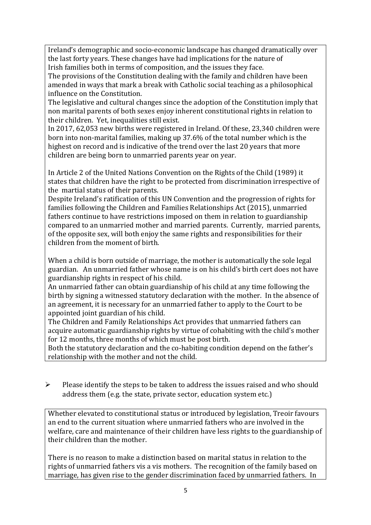Ireland's demographic and socio-economic landscape has changed dramatically over the last forty years. These changes have had implications for the nature of Irish families both in terms of composition, and the issues they face.

The provisions of the Constitution dealing with the family and children have been amended in ways that mark a break with Catholic social teaching as a philosophical influence on the Constitution.

The legislative and cultural changes since the adoption of the Constitution imply that non marital parents of both sexes enjoy inherent constitutional rights in relation to their children. Yet, inequalities still exist.

In 2017, 62,053 new births were registered in Ireland. Of these, 23,340 children were born into non-marital families, making up 37.6% of the total number which is the highest on record and is indicative of the trend over the last 20 years that more children are being born to unmarried parents year on year.

In Article 2 of the United Nations Convention on the Rights of the Child (1989) it states that children have the right to be protected from discrimination irrespective of the martial status of their parents.

Despite Ireland's ratification of this UN Convention and the progression of rights for families following the Children and Families Relationships Act (2015), unmarried fathers continue to have restrictions imposed on them in relation to guardianship compared to an unmarried mother and married parents. Currently, married parents, of the opposite sex, will both enjoy the same rights and responsibilities for their children from the moment of birth.

When a child is born outside of marriage, the mother is automatically the sole legal guardian. An unmarried father whose name is on his child's birth cert does not have guardianship rights in respect of his child.

An unmarried father can obtain guardianship of his child at any time following the birth by signing a witnessed statutory declaration with the mother. In the absence of an agreement, it is necessary for an unmarried father to apply to the Court to be appointed joint guardian of his child.

The Children and Family Relationships Act provides that unmarried fathers can acquire automatic guardianship rights by virtue of cohabiting with the child's mother for 12 months, three months of which must be post birth.

Both the statutory declaration and the co-habiting condition depend on the father's relationship with the mother and not the child.

 $\triangleright$  Please identify the steps to be taken to address the issues raised and who should address them (e.g. the state, private sector, education system etc.)

Whether elevated to constitutional status or introduced by legislation, Treoir favours an end to the current situation where unmarried fathers who are involved in the welfare, care and maintenance of their children have less rights to the guardianship of their children than the mother.

There is no reason to make a distinction based on marital status in relation to the rights of unmarried fathers vis a vis mothers. The recognition of the family based on marriage, has given rise to the gender discrimination faced by unmarried fathers. In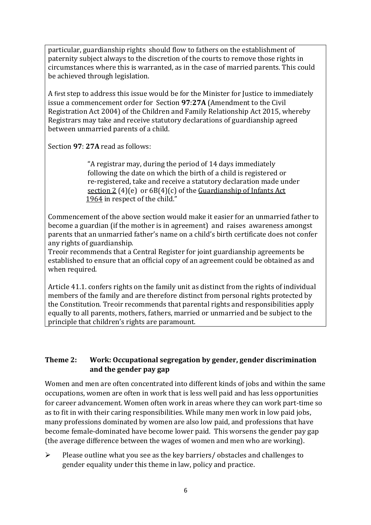particular, guardianship rights should flow to fathers on the establishment of paternity subject always to the discretion of the courts to remove those rights in circumstances where this is warranted, as in the case of married parents. This could be achieved through legislation.

A first step to address this issue would be for the Minister for Justice to immediately issue a commencement order for Section 97:27A (Amendment to the Civil Registration Act 2004) of the Children and Family Relationship Act 2015, whereby Registrars may take and receive statutory declarations of guardianship agreed between unmarried parents of a child.

Section 97: 27A read as follows:

"A registrar may, during the period of 14 days immediately following the date on which the birth of a child is registered or re-registered, take and receive a statutory declaration made under section 2 (4)(e) or  $6B(4)(c)$  of the Guardianship of Infants Act 1964 in respect of the child."

Commencement of the above section would make it easier for an unmarried father to become a guardian (if the mother is in agreement) and raises awareness amongst parents that an unmarried father's name on a child's birth certificate does not confer any rights of guardianship.

Treoir recommends that a Central Register for joint guardianship agreements be established to ensure that an official copy of an agreement could be obtained as and when required.

Article 41.1. confers rights on the family unit as distinct from the rights of individual members of the family and are therefore distinct from personal rights protected by the Constitution. Treoir recommends that parental rights and responsibilities apply equally to all parents, mothers, fathers, married or unmarried and be subject to the principle that children's rights are paramount.

### **Theme 2:** Work: Occupational segregation by gender, gender discrimination and the gender pay gap

Women and men are often concentrated into different kinds of jobs and within the same occupations, women are often in work that is less well paid and has less opportunities for career advancement. Women often work in areas where they can work part-time so as to fit in with their caring responsibilities. While many men work in low paid jobs, many professions dominated by women are also low paid, and professions that have become female-dominated have become lower paid. This worsens the gender pay gap (the average difference between the wages of women and men who are working).

 $\triangleright$  Please outline what you see as the key barriers/ obstacles and challenges to gender equality under this theme in law, policy and practice.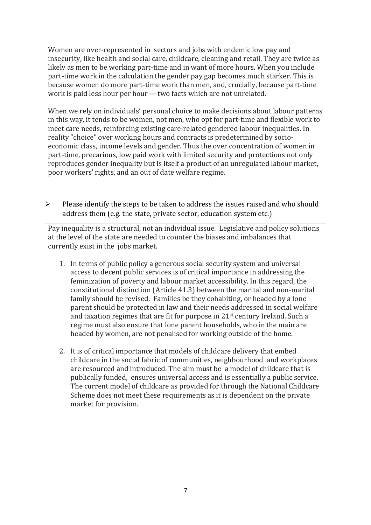Women are over-represented in sectors and jobs with endemic low pay and insecurity, like health and social care, childcare, cleaning and retail. They are twice as likely as men to be working part-time and in want of more hours. When you include part-time work in the calculation the gender pay gap becomes much starker. This is because women do more part-time work than men, and, crucially, because part-time work is paid less hour per hour  $-$  two facts which are not unrelated.

When we rely on individuals' personal choice to make decisions about labour patterns in this way, it tends to be women, not men, who opt for part-time and flexible work to meet care needs, reinforcing existing care-related gendered labour inequalities. In reality "choice" over working hours and contracts is predetermined by socioeconomic class, income levels and gender. Thus the over concentration of women in part-time, precarious, low paid work with limited security and protections not only reproduces gender inequality but is itself a product of an unregulated labour market, poor workers' rights, and an out of date welfare regime.

 $\triangleright$  Please identify the steps to be taken to address the issues raised and who should address them (e.g. the state, private sector, education system etc.)

Pay inequality is a structural, not an individual issue. Legislative and policy solutions at the level of the state are needed to counter the biases and imbalances that currently exist in the jobs market.

- 1. In terms of public policy a generous social security system and universal access to decent public services is of critical importance in addressing the feminization of poverty and labour market accessibility. In this regard, the constitutional distinction (Article 41.3) between the marital and non-marital family should be revised. Families be they cohabiting, or headed by a lone parent should be protected in law and their needs addressed in social welfare and taxation regimes that are fit for purpose in  $21^{st}$  century Ireland. Such a regime must also ensure that lone parent households, who in the main are headed by women, are not penalised for working outside of the home.
- 2. It is of critical importance that models of childcare delivery that embed childcare in the social fabric of communities, neighbourhood and workplaces are resourced and introduced. The aim must be a model of childcare that is publically funded, ensures universal access and is essentially a public service. The current model of childcare as provided for through the National Childcare Scheme does not meet these requirements as it is dependent on the private market for provision.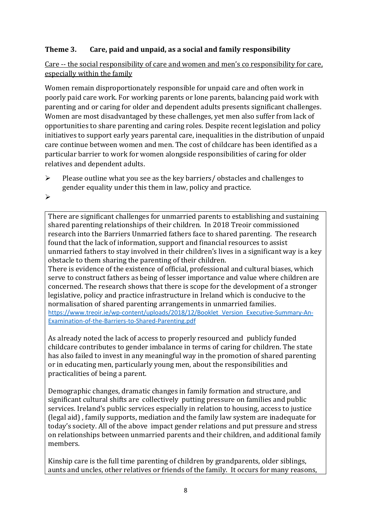### **Theme 3.** Care, paid and unpaid, as a social and family responsibility

Care -- the social responsibility of care and women and men's co responsibility for care, especially within the family

Women remain disproportionately responsible for unpaid care and often work in poorly paid care work. For working parents or lone parents, balancing paid work with parenting and or caring for older and dependent adults presents significant challenges. Women are most disadvantaged by these challenges, yet men also suffer from lack of opportunities to share parenting and caring roles. Despite recent legislation and policy initiatives to support early vears parental care, inequalities in the distribution of unpaid care continue between women and men. The cost of childcare has been identified as a particular barrier to work for women alongside responsibilities of caring for older relatives and dependent adults.

 $\triangleright$  Please outline what you see as the key barriers/ obstacles and challenges to gender equality under this them in law, policy and practice.

Ø

There are significant challenges for unmarried parents to establishing and sustaining shared parenting relationships of their children. In 2018 Treoir commissioned research into the Barriers Unmarried fathers face to shared parenting. The research found that the lack of information, support and financial resources to assist unmarried fathers to stay involved in their children's lives in a significant way is a key obstacle to them sharing the parenting of their children.

There is evidence of the existence of official, professional and cultural biases, which serve to construct fathers as being of lesser importance and value where children are concerned. The research shows that there is scope for the development of a stronger legislative, policy and practice infrastructure in Ireland which is conducive to the normalisation of shared parenting arrangements in unmarried families. https://www.treoir.ie/wp-content/uploads/2018/12/Booklet\_Version\_Executive-Summary-An-Examination-of-the-Barriers-to-Shared-Parenting.pdf

As already noted the lack of access to properly resourced and publicly funded childcare contributes to gender imbalance in terms of caring for children. The state has also failed to invest in any meaningful way in the promotion of shared parenting or in educating men, particularly young men, about the responsibilities and practicalities of being a parent.

Demographic changes, dramatic changes in family formation and structure, and significant cultural shifts are collectively putting pressure on families and public services. Ireland's public services especially in relation to housing, access to justice (legal aid), family supports, mediation and the family law system are inadequate for today's society. All of the above impact gender relations and put pressure and stress on relationships between unmarried parents and their children, and additional family members. 

Kinship care is the full time parenting of children by grandparents, older siblings, aunts and uncles, other relatives or friends of the family. It occurs for many reasons,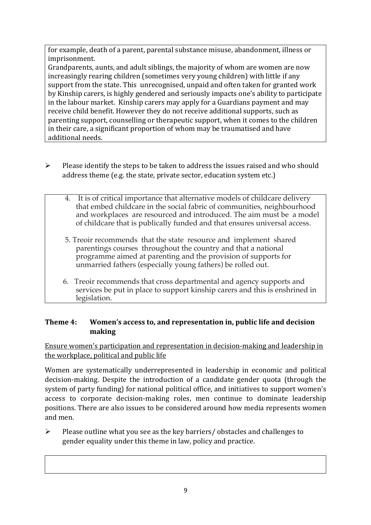for example, death of a parent, parental substance misuse, abandonment, illness or imprisonment. 

Grandparents, aunts, and adult siblings, the majority of whom are women are now increasingly rearing children (sometimes very young children) with little if any support from the state. This unrecognised, unpaid and often taken for granted work by Kinship carers, is highly gendered and seriously impacts one's ability to participate in the labour market. Kinship carers may apply for a Guardians payment and may receive child benefit. However they do not receive additional supports, such as parenting support, counselling or therapeutic support, when it comes to the children in their care, a significant proportion of whom may be traumatised and have additional needs.

- $\triangleright$  Please identify the steps to be taken to address the issues raised and who should address theme (e.g. the state, private sector, education system etc.)
	- 4. It is of critical importance that alternative models of childcare delivery that embed childcare in the social fabric of communities, neighbourhood and workplaces are resourced and introduced. The aim must be a model of childcare that is publically funded and that ensures universal access.
	- 5. Treoir recommends that the state resource and implement shared parentings courses throughout the country and that a national programme aimed at parenting and the provision of supports for unmarried fathers (especially young fathers) be rolled out.
	- 6. Treoir recommends that cross departmental and agency supports and services be put in place to support kinship carers and this is enshrined in legislation.

### **Theme 4:** Women's access to, and representation in, public life and decision **making**

Ensure women's participation and representation in decision-making and leadership in the workplace, political and public life

Women are systematically underrepresented in leadership in economic and political decision-making. Despite the introduction of a candidate gender quota (through the system of party funding) for national political office, and initiatives to support women's access to corporate decision-making roles, men continue to dominate leadership positions. There are also issues to be considered around how media represents women and men. 

 $\triangleright$  Please outline what you see as the key barriers/ obstacles and challenges to gender equality under this theme in law, policy and practice.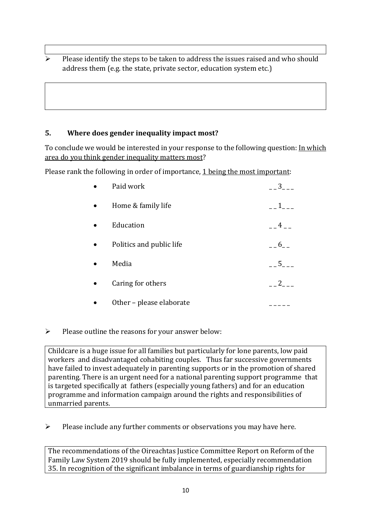Please identify the steps to be taken to address the issues raised and who should address them (e.g. the state, private sector, education system etc.)

#### **5.** Where does gender inequality impact most?

To conclude we would be interested in your response to the following question: In which area do you think gender inequality matters most?

Please rank the following in order of importance,  $1$  being the most important:

| Paid work                | 3              |
|--------------------------|----------------|
| Home & family life       |                |
| Education                | 4 <sup>1</sup> |
| Politics and public life | 6              |
| Media                    | $5 - 5$        |
| Caring for others        | $2_{-}$        |
| Other - please elaborate |                |

 $\triangleright$  Please outline the reasons for your answer below:

Childcare is a huge issue for all families but particularly for lone parents, low paid workers and disadvantaged cohabiting couples. Thus far successive governments have failed to invest adequately in parenting supports or in the promotion of shared parenting. There is an urgent need for a national parenting support programme that is targeted specifically at fathers (especially young fathers) and for an education programme and information campaign around the rights and responsibilities of unmarried parents.

 $\triangleright$  Please include any further comments or observations you may have here.

The recommendations of the Oireachtas Justice Committee Report on Reform of the Family Law System 2019 should be fully implemented, especially recommendation 35. In recognition of the significant imbalance in terms of guardianship rights for